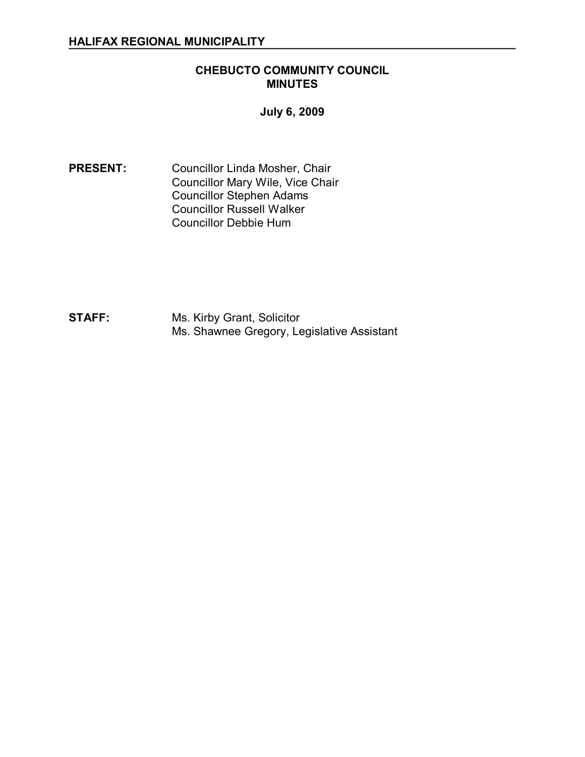# **CHEBUCTO COMMUNITY COUNCIL MINUTES**

**July 6, 2009** 

**PRESENT:** Councillor Linda Mosher, Chair Councillor Mary Wile, Vice Chair Councillor Stephen Adams Councillor Russell Walker Councillor Debbie Hum

**STAFF:** Ms. Kirby Grant, Solicitor Ms. Shawnee Gregory, Legislative Assistant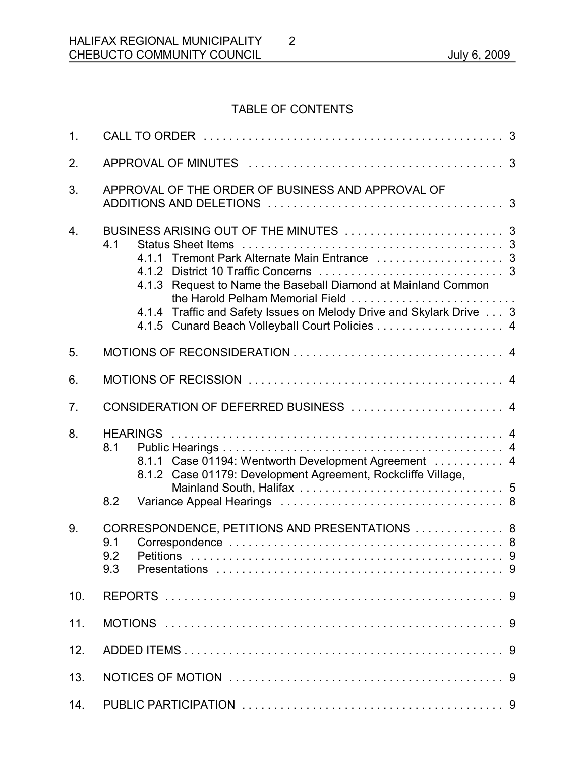# TABLE OF CONTENTS

2

| 1 <sub>1</sub>   |                                                                                                                                                                                                                                   |
|------------------|-----------------------------------------------------------------------------------------------------------------------------------------------------------------------------------------------------------------------------------|
| 2.               |                                                                                                                                                                                                                                   |
| 3.               | APPROVAL OF THE ORDER OF BUSINESS AND APPROVAL OF                                                                                                                                                                                 |
| $\overline{4}$ . | 4.1<br>4.1.3 Request to Name the Baseball Diamond at Mainland Common<br>the Harold Pelham Memorial Field<br>4.1.4 Traffic and Safety Issues on Melody Drive and Skylark Drive 3<br>4.1.5 Cunard Beach Volleyball Court Policies 4 |
| 5.               |                                                                                                                                                                                                                                   |
| 6.               |                                                                                                                                                                                                                                   |
| 7.               | CONSIDERATION OF DEFERRED BUSINESS  4                                                                                                                                                                                             |
| 8.               | 8.1<br>8.1.1 Case 01194: Wentworth Development Agreement  4<br>8.1.2 Case 01179: Development Agreement, Rockcliffe Village,                                                                                                       |
|                  | 8.2                                                                                                                                                                                                                               |
| 9.               | CORRESPONDENCE, PETITIONS AND PRESENTATIONS  8<br>9.1<br>9.2<br>9.3                                                                                                                                                               |
| 10.              |                                                                                                                                                                                                                                   |
| 11.              |                                                                                                                                                                                                                                   |
| 12.              |                                                                                                                                                                                                                                   |
| 13.              |                                                                                                                                                                                                                                   |
| 14.              |                                                                                                                                                                                                                                   |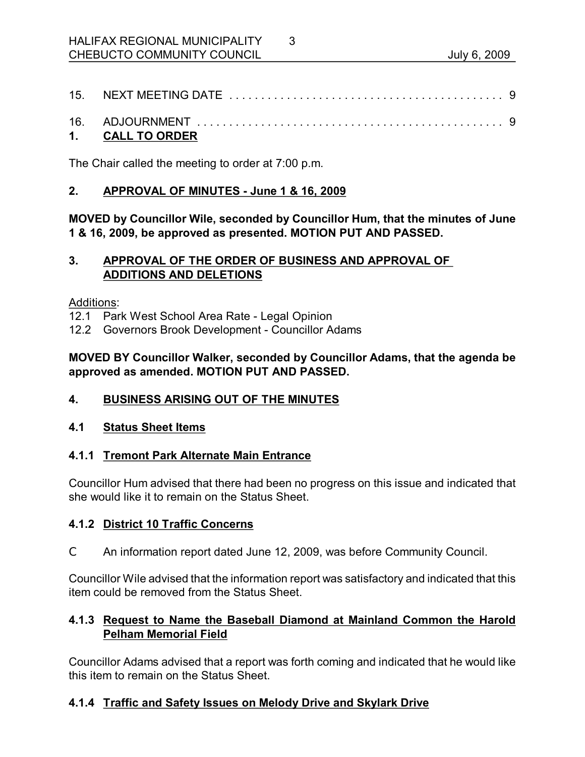| 15. |  |
|-----|--|
|     |  |

3

| 16. ADJOURNMENT      |  |
|----------------------|--|
| <b>CALL TO ORDER</b> |  |

The Chair called the meeting to order at 7:00 p.m.

# **2. APPROVAL OF MINUTES June 1 & 16, 2009**

**MOVED by Councillor Wile, seconded by Councillor Hum, that the minutes of June 1 & 16, 2009, be approved as presented. MOTION PUT AND PASSED.** 

# **3. APPROVAL OF THE ORDER OF BUSINESS AND APPROVAL OF ADDITIONS AND DELETIONS**

Additions:

12.1 Park West School Area Rate Legal Opinion

12.2 Governors Brook Development - Councillor Adams

# **MOVED BY Councillor Walker, seconded by Councillor Adams, that the agenda be approved as amended. MOTION PUT AND PASSED.**

# **4. BUSINESS ARISING OUT OF THE MINUTES**

# **4.1 Status Sheet Items**

# **4.1.1 Tremont Park Alternate Main Entrance**

Councillor Hum advised that there had been no progress on this issue and indicated that she would like it to remain on the Status Sheet.

# **4.1.2 District 10 Traffic Concerns**

C An information report dated June 12, 2009, was before Community Council.

Councillor Wile advised that the information report was satisfactory and indicated that this item could be removed from the Status Sheet.

# **4.1.3 Request to Name the Baseball Diamond at Mainland Common the Harold Pelham Memorial Field**

Councillor Adams advised that a report was forth coming and indicated that he would like this item to remain on the Status Sheet.

# **4.1.4 Traffic and Safety Issues on Melody Drive and Skylark Drive**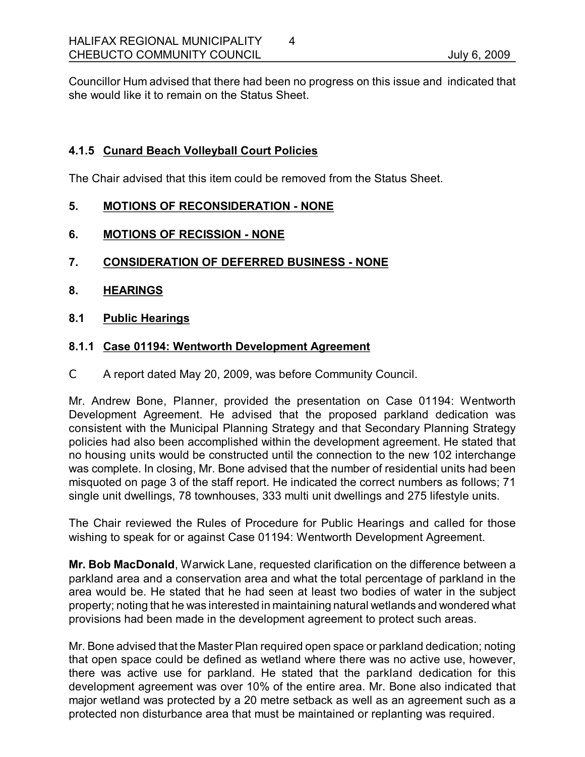Councillor Hum advised that there had been no progress on this issue and indicated that she would like it to remain on the Status Sheet.

# **4.1.5 Cunard Beach Volleyball Court Policies**

The Chair advised that this item could be removed from the Status Sheet.

# **5. MOTIONS OF RECONSIDERATION NONE**

# **6. MOTIONS OF RECISSION NONE**

- **7. CONSIDERATION OF DEFERRED BUSINESS NONE**
- **8. HEARINGS**
- **8.1 Public Hearings**

# **8.1.1 Case 01194: Wentworth Development Agreement**

C A report dated May 20, 2009, was before Community Council.

Mr. Andrew Bone, Planner, provided the presentation on Case 01194: Wentworth Development Agreement. He advised that the proposed parkland dedication was consistent with the Municipal Planning Strategy and that Secondary Planning Strategy policies had also been accomplished within the development agreement. He stated that no housing units would be constructed until the connection to the new 102 interchange was complete. In closing, Mr. Bone advised that the number of residential units had been misquoted on page 3 of the staff report. He indicated the correct numbers as follows; 71 single unit dwellings, 78 townhouses, 333 multi unit dwellings and 275 lifestyle units.

The Chair reviewed the Rules of Procedure for Public Hearings and called for those wishing to speak for or against Case 01194: Wentworth Development Agreement.

**Mr. Bob MacDonald**, Warwick Lane, requested clarification on the difference between a parkland area and a conservation area and what the total percentage of parkland in the area would be. He stated that he had seen at least two bodies of water in the subject property; noting that he was interested in maintaining natural wetlands and wondered what provisions had been made in the development agreement to protect such areas.

Mr. Bone advised that the Master Plan required open space or parkland dedication; noting that open space could be defined as wetland where there was no active use, however, there was active use for parkland. He stated that the parkland dedication for this development agreement was over 10% of the entire area. Mr. Bone also indicated that major wetland was protected by a 20 metre setback as well as an agreement such as a protected non disturbance area that must be maintained or replanting was required.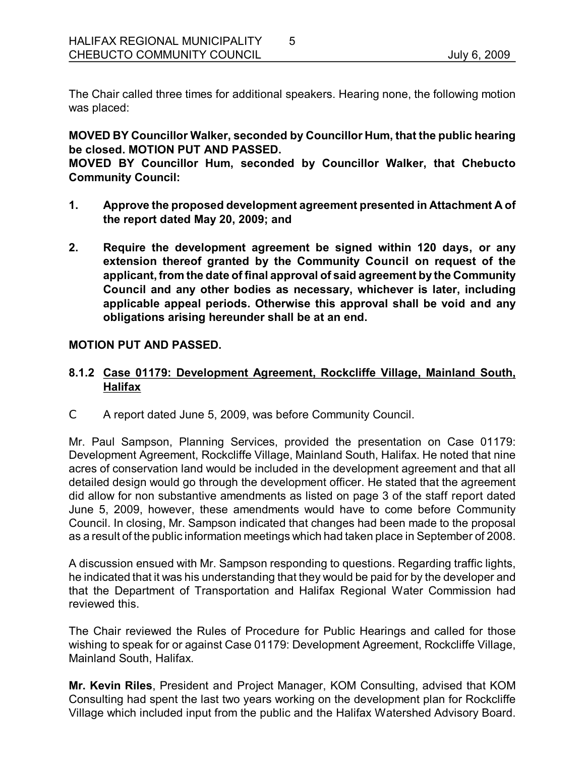The Chair called three times for additional speakers. Hearing none, the following motion was placed:

5

**MOVED BY Councillor Walker, seconded by Councillor Hum, that the public hearing be closed. MOTION PUT AND PASSED.** 

**MOVED BY Councillor Hum, seconded by Councillor Walker, that Chebucto Community Council:**

- **1. Approve the proposed development agreement presented in Attachment A of the report dated May 20, 2009; and**
- **2. Require the development agreement be signed within 120 days, or any extension thereof granted by the Community Council on request of the applicant,from the date of final approval of said agreement by the Community Council and any other bodies as necessary, whichever is later, including applicable appeal periods. Otherwise this approval shall be void and any obligations arising hereunder shall be at an end.**

#### **MOTION PUT AND PASSED.**

# **8.1.2 Case 01179: Development Agreement, Rockcliffe Village, Mainland South, Halifax**

C A report dated June 5, 2009, was before Community Council.

Mr. Paul Sampson, Planning Services, provided the presentation on Case 01179: Development Agreement, Rockcliffe Village, Mainland South, Halifax. He noted that nine acres of conservation land would be included in the development agreement and that all detailed design would go through the development officer. He stated that the agreement did allow for non substantive amendments as listed on page 3 of the staff report dated June 5, 2009, however, these amendments would have to come before Community Council. In closing, Mr. Sampson indicated that changes had been made to the proposal as a result of the public information meetings which had taken place in September of 2008.

A discussion ensued with Mr. Sampson responding to questions. Regarding traffic lights, he indicated that it was his understanding that they would be paid for by the developer and that the Department of Transportation and Halifax Regional Water Commission had reviewed this.

The Chair reviewed the Rules of Procedure for Public Hearings and called for those wishing to speak for or against Case 01179: Development Agreement, Rockcliffe Village, Mainland South, Halifax.

**Mr. Kevin Riles**, President and Project Manager, KOM Consulting, advised that KOM Consulting had spent the last two years working on the development plan for Rockcliffe Village which included input from the public and the Halifax Watershed Advisory Board.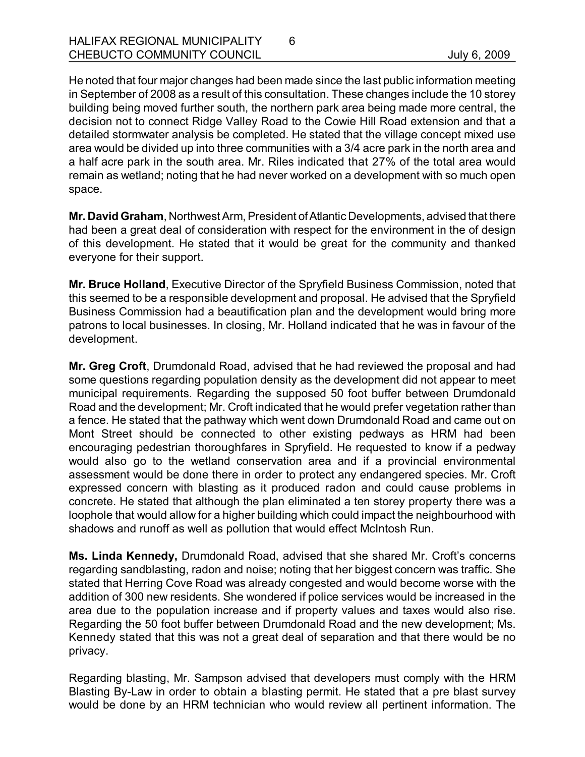He noted that four major changes had been made since the last public information meeting in September of 2008 as a result of this consultation. These changes include the 10 storey building being moved further south, the northern park area being made more central, the decision not to connect Ridge Valley Road to the Cowie Hill Road extension and that a detailed stormwater analysis be completed. He stated that the village concept mixed use area would be divided up into three communities with a 3/4 acre park in the north area and a half acre park in the south area. Mr. Riles indicated that 27% of the total area would remain as wetland; noting that he had never worked on a development with so much open space.

6

**Mr. David Graham, Northwest Arm, President of Atlantic Developments, advised that there** had been a great deal of consideration with respect for the environment in the of design of this development. He stated that it would be great for the community and thanked everyone for their support.

**Mr. Bruce Holland**, Executive Director of the Spryfield Business Commission, noted that this seemed to be a responsible development and proposal. He advised that the Spryfield Business Commission had a beautification plan and the development would bring more patrons to local businesses. In closing, Mr. Holland indicated that he was in favour of the development.

**Mr. Greg Croft**, Drumdonald Road, advised that he had reviewed the proposal and had some questions regarding population density as the development did not appear to meet municipal requirements. Regarding the supposed 50 foot buffer between Drumdonald Road and the development; Mr. Croft indicated that he would prefer vegetation rather than a fence. He stated that the pathway which went down Drumdonald Road and came out on Mont Street should be connected to other existing pedways as HRM had been encouraging pedestrian thoroughfares in Spryfield. He requested to know if a pedway would also go to the wetland conservation area and if a provincial environmental assessment would be done there in order to protect any endangered species. Mr. Croft expressed concern with blasting as it produced radon and could cause problems in concrete. He stated that although the plan eliminated a ten storey property there was a loophole that would allow for a higher building which could impact the neighbourhood with shadows and runoff as well as pollution that would effect McIntosh Run.

**Ms. Linda Kennedy,** Drumdonald Road, advised that she shared Mr. Croft's concerns regarding sandblasting, radon and noise; noting that her biggest concern was traffic. She stated that Herring Cove Road was already congested and would become worse with the addition of 300 new residents. She wondered if police services would be increased in the area due to the population increase and if property values and taxes would also rise. Regarding the 50 foot buffer between Drumdonald Road and the new development; Ms. Kennedy stated that this was not a great deal of separation and that there would be no privacy.

Regarding blasting, Mr. Sampson advised that developers must comply with the HRM Blasting ByLaw in order to obtain a blasting permit. He stated that a pre blast survey would be done by an HRM technician who would review all pertinent information. The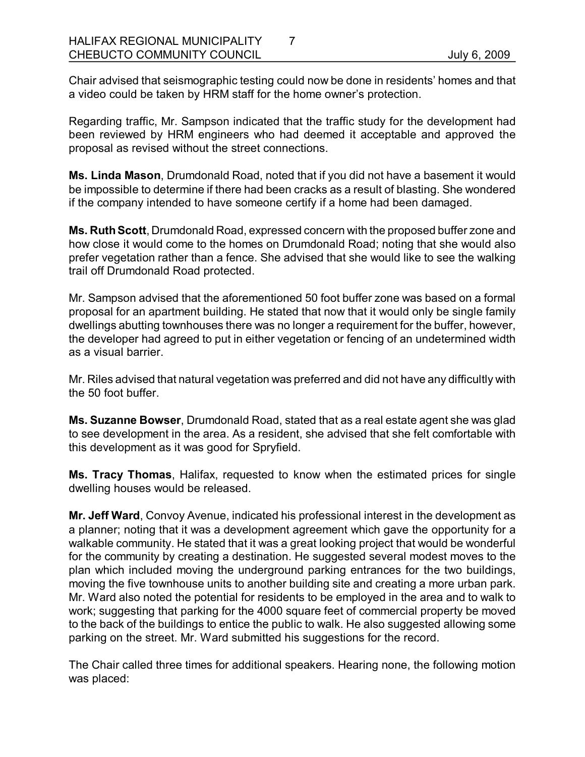Chair advised that seismographic testing could now be done in residents' homes and that a video could be taken by HRM staff for the home owner's protection.

Regarding traffic, Mr. Sampson indicated that the traffic study for the development had been reviewed by HRM engineers who had deemed it acceptable and approved the proposal as revised without the street connections.

**Ms. Linda Mason**, Drumdonald Road, noted that if you did not have a basement it would be impossible to determine if there had been cracks as a result of blasting. She wondered if the company intended to have someone certify if a home had been damaged.

**Ms. RuthScott**, Drumdonald Road, expressed concern with the proposed buffer zone and how close it would come to the homes on Drumdonald Road; noting that she would also prefer vegetation rather than a fence. She advised that she would like to see the walking trail off Drumdonald Road protected.

Mr. Sampson advised that the aforementioned 50 foot buffer zone was based on a formal proposal for an apartment building. He stated that now that it would only be single family dwellings abutting townhouses there was no longer a requirement for the buffer, however, the developer had agreed to put in either vegetation or fencing of an undetermined width as a visual barrier.

Mr. Riles advised that natural vegetation was preferred and did not have any difficultly with the 50 foot buffer.

**Ms. Suzanne Bowser**, Drumdonald Road, stated that as a real estate agent she was glad to see development in the area. As a resident, she advised that she felt comfortable with this development as it was good for Spryfield.

**Ms. Tracy Thomas**, Halifax, requested to know when the estimated prices for single dwelling houses would be released.

**Mr. Jeff Ward**, Convoy Avenue, indicated his professional interest in the development as a planner; noting that it was a development agreement which gave the opportunity for a walkable community. He stated that it was a great looking project that would be wonderful for the community by creating a destination. He suggested several modest moves to the plan which included moving the underground parking entrances for the two buildings, moving the five townhouse units to another building site and creating a more urban park. Mr. Ward also noted the potential for residents to be employed in the area and to walk to work; suggesting that parking for the 4000 square feet of commercial property be moved to the back of the buildings to entice the public to walk. He also suggested allowing some parking on the street. Mr. Ward submitted his suggestions for the record.

The Chair called three times for additional speakers. Hearing none, the following motion was placed: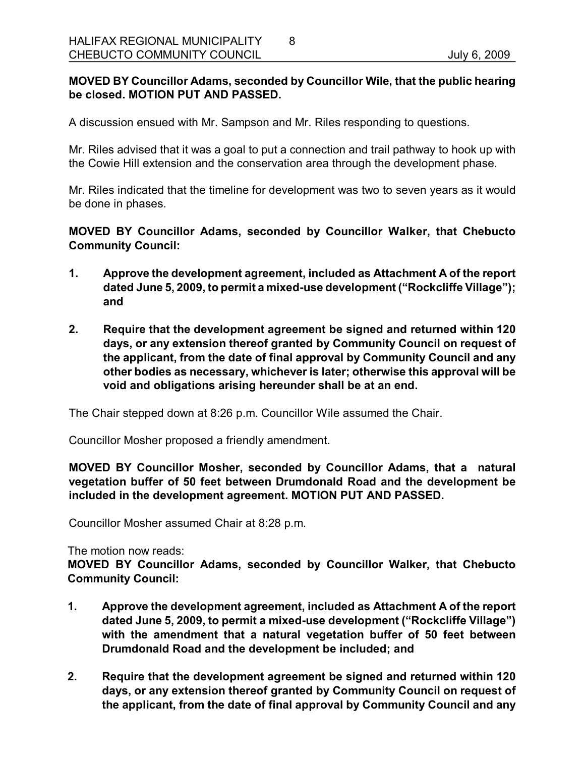# **MOVED BY Councillor Adams, seconded by Councillor Wile, that the public hearing be closed. MOTION PUT AND PASSED.**

8

A discussion ensued with Mr. Sampson and Mr. Riles responding to questions.

Mr. Riles advised that it was a goal to put a connection and trail pathway to hook up with the Cowie Hill extension and the conservation area through the development phase.

Mr. Riles indicated that the timeline for development was two to seven years as it would be done in phases.

**MOVED BY Councillor Adams, seconded by Councillor Walker, that Chebucto Community Council:**

- **1. Approve the development agreement, included as Attachment A of the report dated June 5, 2009, to permit a mixeduse development ("Rockcliffe Village"); and**
- **2. Require that the development agreement be signed and returned within 120 days, or any extension thereof granted by Community Council on request of the applicant, from the date of final approval by Community Council and any other bodies as necessary, whichever is later; otherwise this approval will be void and obligations arising hereunder shall be at an end.**

The Chair stepped down at 8:26 p.m. Councillor Wile assumed the Chair.

Councillor Mosher proposed a friendly amendment.

**MOVED BY Councillor Mosher, seconded by Councillor Adams, that a natural vegetation buffer of 50 feet between Drumdonald Road and the development be included in the development agreement. MOTION PUT AND PASSED.**

Councillor Mosher assumed Chair at 8:28 p.m.

The motion now reads:

**MOVED BY Councillor Adams, seconded by Councillor Walker, that Chebucto Community Council:**

- **1. Approve the development agreement, included as Attachment A of the report dated** June 5, 2009, to permit a mixed-use development ("Rockcliffe Village") **with the amendment that a natural vegetation buffer of 50 feet between Drumdonald Road and the development be included; and**
- **2. Require that the development agreement be signed and returned within 120 days, or any extension thereof granted by Community Council on request of the applicant, from the date of final approval by Community Council and any**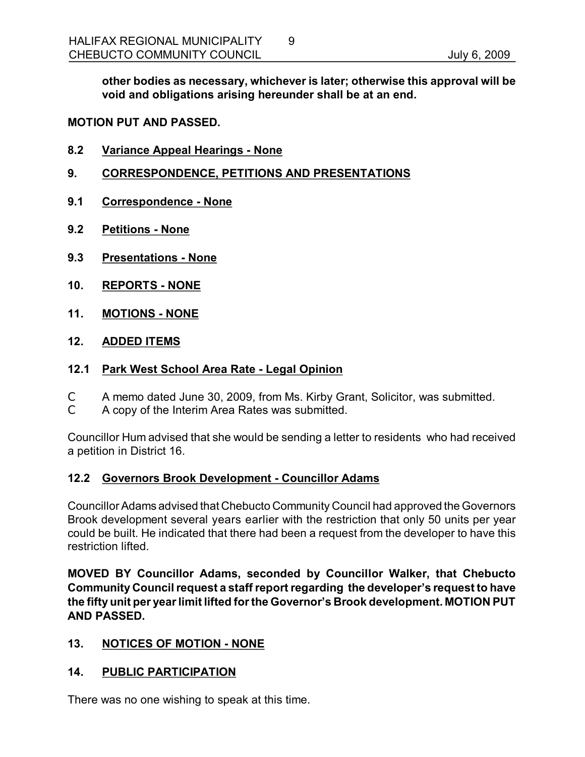**other bodies as necessary, whichever is later; otherwise this approval will be void and obligations arising hereunder shall be at an end.** 

# **MOTION PUT AND PASSED.**

- **8.2 Variance Appeal Hearings None**
- **9. CORRESPONDENCE, PETITIONS AND PRESENTATIONS**
- **9.1 Correspondence None**
- **9.2 Petitions None**
- **9.3 Presentations None**
- **10. REPORTS NONE**
- **11. MOTIONS NONE**
- **12. ADDED ITEMS**

#### **12.1 Park West School Area Rate Legal Opinion**

- C A memo dated June 30, 2009, from Ms. Kirby Grant, Solicitor, was submitted.
- C A copy of the Interim Area Rates was submitted.

Councillor Hum advised that she would be sending a letter to residents who had received a petition in District 16.

#### **12.2 Governors Brook Development Councillor Adams**

Councillor Adams advised that Chebucto Community Council had approved the Governors Brook development several years earlier with the restriction that only 50 units per year could be built. He indicated that there had been a request from the developer to have this restriction lifted.

**MOVED BY Councillor Adams, seconded by Councillor Walker, that Chebucto Community Council request a staff report regarding the developer's request to have the fifty unit per yearlimit lifted forthe Governor's Brook development. MOTION PUT AND PASSED.** 

# **13. NOTICES OF MOTION NONE**

# **14. PUBLIC PARTICIPATION**

There was no one wishing to speak at this time.